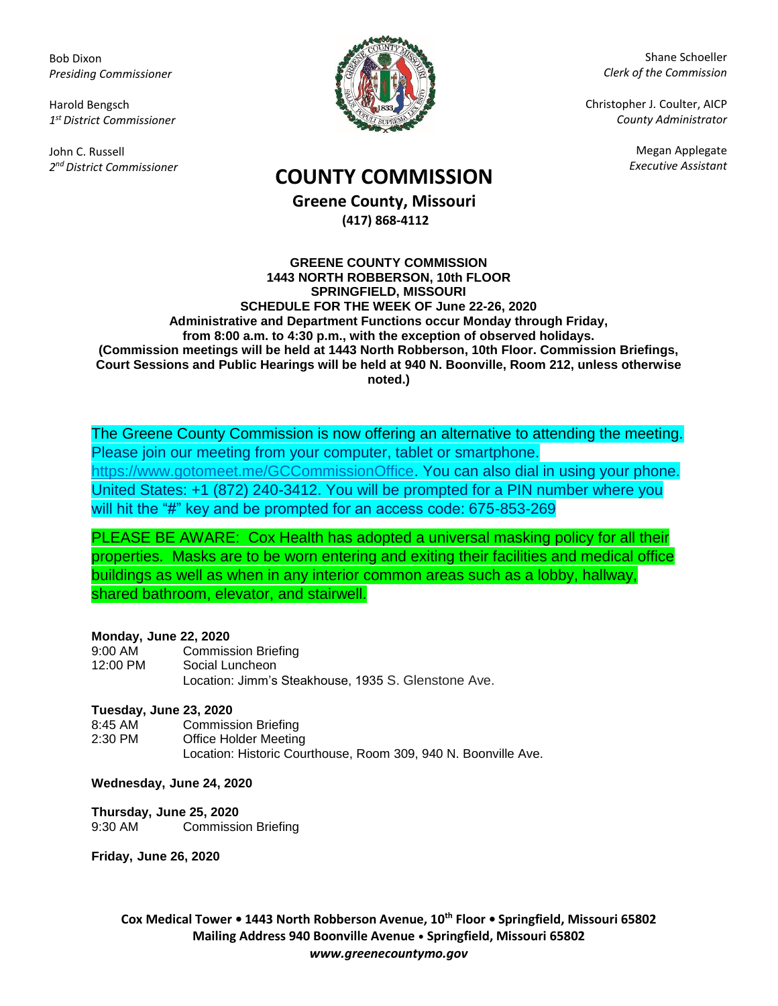Bob Dixon *Presiding Commissioner*

Harold Bengsch *1 st District Commissioner*

John C. Russell *2 nd District Commissioner*



Shane Schoeller *Clerk of the Commission*

Christopher J. Coulter, AICP *County Administrator*

Megan Applegate

# *Executive Assistant* **COUNTY COMMISSION**

**Greene County, Missouri (417) 868-4112**

#### **GREENE COUNTY COMMISSION 1443 NORTH ROBBERSON, 10th FLOOR SPRINGFIELD, MISSOURI SCHEDULE FOR THE WEEK OF June 22-26, 2020 Administrative and Department Functions occur Monday through Friday, from 8:00 a.m. to 4:30 p.m., with the exception of observed holidays. (Commission meetings will be held at 1443 North Robberson, 10th Floor. Commission Briefings, Court Sessions and Public Hearings will be held at 940 N. Boonville, Room 212, unless otherwise noted.)**

The Greene County Commission is now offering an alternative to attending the meeting. Please join our meeting from your computer, tablet or smartphone. [https://www.gotomeet.me/GCCommissionOffice.](https://www.gotomeet.me/GCCommissionOffice) You can also dial in using your phone. United States: +1 (872) 240-3412. You will be prompted for a PIN number where you will hit the "#" key and be prompted for an access code: 675-853-269

PLEASE BE AWARE: Cox Health has adopted a universal masking policy for all their properties. Masks are to be worn entering and exiting their facilities and medical office buildings as well as when in any interior common areas such as a lobby, hallway, shared bathroom, elevator, and stairwell.

### **Monday, June 22, 2020**

| $9:00$ AM | <b>Commission Briefing</b>                          |
|-----------|-----------------------------------------------------|
| 12:00 PM  | Social Luncheon                                     |
|           | Location: Jimm's Steakhouse, 1935 S. Glenstone Ave. |

### **Tuesday, June 23, 2020**

| 8:45 AM   | <b>Commission Briefing</b>                                     |
|-----------|----------------------------------------------------------------|
| $2:30$ PM | Office Holder Meeting                                          |
|           | Location: Historic Courthouse. Room 309, 940 N. Boonville Ave. |

### **Wednesday, June 24, 2020**

### **Thursday, June 25, 2020**

9:30 AM Commission Briefing

**Friday, June 26, 2020**

**Cox Medical Tower • 1443 North Robberson Avenue, 10th Floor • Springfield, Missouri 65802 Mailing Address 940 Boonville Avenue • Springfield, Missouri 65802** *www.greenecountymo.gov*